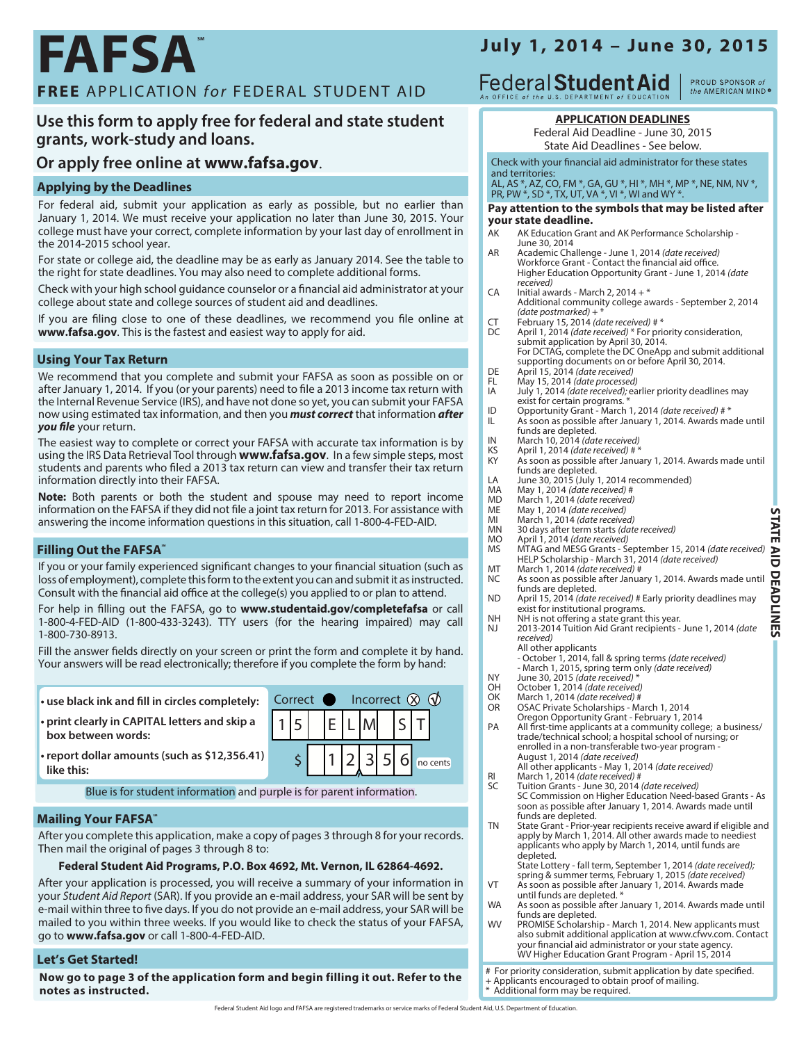## **FAFSA FREE** APPLICATION *for* FEDERAL STUDENT AID

#### **Use this form to apply free for federal and state student grants, work-study and loans.**

#### **Or apply free online at [www.fafsa.gov](http://www.fafsa.ed.gov)**.

#### **Applying by the Deadlines**

For federal aid, submit your application as early as possible, but no earlier than January 1, 2014. We must receive your application no later than June 30, 2015. Your college must have your correct, complete information by your last day of enrollment in the 2014-2015 school year.

For state or college aid, the deadline may be as early as January 2014. See the table to the right for state deadlines. You may also need to complete additional forms.

Check with your high school guidance counselor or a financial aid administrator at your college about state and college sources of student aid and deadlines.

If you are filing close to one of these deadlines, we recommend you file online at **[www.fafsa.gov](http://www.fafsa.ed.gov)**. This is the fastest and easiest way to apply for aid.

#### **Using Your Tax Return**

We recommend that you complete and submit your FAFSA as soon as possible on or after January 1, 2014. If you (or your parents) need to file a 2013 income tax return with the Internal Revenue Service (IRS), and have not done so yet, you can submit your FAFSA now using estimated tax information, and then you *must correct* that information *after you file* your return.

The easiest way to complete or correct your FAFSA with accurate tax information is by using the IRS Data Retrieval Tool through **<www.fafsa.gov>**. In a few simple steps, most students and parents who filed a 2013 tax return can view and transfer their tax return information directly into their FAFSA.

**Note:** Both parents or both the student and spouse may need to report income information on the FAFSA if they did not file a joint tax return for 2013. For assistance with answering the income information questions in this situation, call 1-800-4-FED-AID.

#### **Filling Out the FAFSA**\*

If you or your family experienced significant changes to your financial situation (such as loss of employment), complete this form to the extent you can and submit it as instructed. Consult with the financial aid office at the college(s) you applied to or plan to attend.

For help in filling out the FAFSA, go to **[www.studentaid.gov/completefafsa](http://studentaid.ed.gov/completefafsa)** or call 1-800-4-FED-AID (1-800-433-3243). TTY users (for the hearing impaired) may call 1-800-730-8913.

Fill the answer fields directly on your screen or print the form and complete it by hand. Your answers will be read electronically; therefore if you complete the form by hand:

| • use black ink and fill in circles completely:                     |                           | Correct <b>n</b> Incorrect $\hat{\mathbf{\Omega}}$ <b>d</b> |  |  |  |  |  |  |                                                                                                                                                                                                                                                                                                                                                                                   |  |
|---------------------------------------------------------------------|---------------------------|-------------------------------------------------------------|--|--|--|--|--|--|-----------------------------------------------------------------------------------------------------------------------------------------------------------------------------------------------------------------------------------------------------------------------------------------------------------------------------------------------------------------------------------|--|
| • print clearly in CAPITAL letters and skip a<br>box between words: | $ 1 5 $ $ E L M $ $ S T $ |                                                             |  |  |  |  |  |  |                                                                                                                                                                                                                                                                                                                                                                                   |  |
| • report dollar amounts (such as \$12,356.41)<br>like this:         |                           |                                                             |  |  |  |  |  |  | $\begin{array}{ c c c c c c } \hline \rule{0pt}{1.2ex} & \rule{0pt}{1.2ex} & \rule{0pt}{1.2ex} & \rule{0pt}{1.2ex} & \rule{0pt}{1.2ex} & \rule{0pt}{1.2ex} & \rule{0pt}{1.2ex} & \rule{0pt}{1.2ex} & \rule{0pt}{1.2ex} & \rule{0pt}{1.2ex} & \rule{0pt}{1.2ex} & \rule{0pt}{1.2ex} & \rule{0pt}{1.2ex} & \rule{0pt}{1.2ex} & \rule{0pt}{1.2ex} & \rule{0pt}{1.2ex} & \rule{0pt}{$ |  |

Blue is for student information and purple is for parent information.

#### **Mailing Your FAFSA**\*

After you complete this application, make a copy of pages 3 through 8 for your records. Then mail the original of pages 3 through 8 to:

#### **Federal Student Aid Programs, P.O. Box 4692, Mt. Vernon, IL 62864-4692.**

After your application is processed, you will receive a summary of your information in your *Student Aid Report* (SAR). If you provide an e-mail address, your SAR will be sent by e-mail within three to five days. If you do not provide an e-mail address, your SAR will be mailed to you within three weeks. If you would like to check the status of your FAFSA, go to **[www.fafsa.gov](http://www.fafsa.ed.gov)** or call 1-800-4-FED-AID.

#### **Let's Get Started!**

**Now [go to page 3](#page-2-0) of the application form and begin filling it out. Refer to the notes as instructed.**

## **July 1, 2014 – June 30, 2015** PROUD SPONSOR of

**Federal Student Aid** 

#### **APPLICATION DEADLINES**

Federal Aid Deadline - June 30, 2015 State Aid Deadlines - See below.

#### Check with your financial aid administrator for these states and territories:

AL, AS \*, AZ, CO, FM \*, GA, GU \*, HI \*, MH \*, MP \*, NE, NM, NV \*, PR, PW \*, SD \*, TX, UT, VA \*, VI \*, WI and WY \*.

#### **Pay attention to the symbols that may be listed after your state deadline.**

- AK AK Education Grant and AK Performance Scholarship June 30, 2014
- AR Academic Challenge June 1, 2014 *(date received)* Workforce Grant - Contact the financial aid office. Higher Education Opportunity Grant - June 1, 2014 *(date received)*
- CA Initial awards March 2, 2014 + \* Additional community college awards September 2, 2014 *(date postmarked)* + \*
- CT February 15, 2014 *(date received)* # \* DC April 1, 2014 *(date received)* \* For priority consideration, submit application by April 30, 2014. For DCTAG, complete the DC OneApp and submit additional supporting documents on or before April 30, 2014.
- 
- DE April 15, 2014 *(date received)*
- FL May 15, 2014 *(date processed)* July 1, 2014 *(date received);* earlier priority deadlines may
- exist for certain programs. \*
- ID Opportunity Grant March 1, 2014 *(date received)* # \* As soon as possible after January 1, 2014. Awards made until
- funds are depleted.
- IN March 10, 2014 *(date received)*
- KS April 1, 2014 *(date received)* # \* As soon as possible after January 1, 2014. Awards made until funds are depleted.
- LA June 30, 2015 (July 1, 2014 recommended)<br>MA May 1, 2014 (date received) #
- MA May 1, 2014 *(date received)* #
- MD March 1, 2014 *(date received)*
- ME May 1, 2014 *(date received)*
- MI March 1, 2014 *(date received)*
- MN 30 days after term starts *(date received)*
- MO April 1, 2014 *(date received)*<br>MS MTAG and MESG Grants Se MTAG and MESG Grants - September 15, 2014 *(date received)* HELP Scholarship - March 31, 2014 *(date received)*
- MT March 1, 2014 *(date received)* #
- As soon as possible after January 1, 2014. Awards made until funds are depleted. ND April 15, 2014 *(date received)* # Early priority deadlines may
- exist for institutional programs.
- NH NH is not offering a state grant this year.<br>NJ 2013-2014 Tuition Aid Grant recipients -2013-2014 Tuition Aid Grant recipients - June 1, 2014 *(date* 
	- *received)* All other applicants
		-
		- October 1, 2014, fall & spring terms *(date received)* March 1, 2015, spring term only *(date received)*
	-
- NY June 30, 2015 *(date received)* \* OH October 1, 2014 *(date received)*
- OK March 1, 2014 *(date received)* #
- OSAC Private Scholarships March 1, 2014
- Oregon Opportunity Grant February 1, 2014
- PA All first-time applicants at a community college; a business/ trade/technical school; a hospital school of nursing; or enrolled in a non-transferable two-year program - August 1, 2014 *(date received)*
- All other applicants May 1, 2014 *(date received)*  RI March 1, 2014 *(date received)* #
- SC Tuition Grants June 30, 2014 *(date received)* SC Commission on Higher Education Need-based Grants - As soon as possible after January 1, 2014. Awards made until funds are depleted.
- TN State Grant Prior-year recipients receive award if eligible and apply by March 1, 2014. All other awards made to neediest applicants who apply by March 1, 2014, until funds are depleted.
- State Lottery fall term, September 1, 2014 *(date received);*  spring & summer terms, February 1, 2015 *(date received)* VT As soon as possible after January 1, 2014. Awards made
- until funds are depleted. \* WA As soon as possible after January 1, 2014. Awards made until
- funds are depleted. WV PROMISE Scholarship - March 1, 2014. New applicants must
- also submit additional application a[t www.cfwv.com.](http://www.cfwv.com) Contact your financial aid administrator or your state agency. WV Higher Education Grant Program - April 15, 2014

# For priority consideration, submit application by date specified.

+ Applicants encouraged to obtain proof of mailing. \* Additional form may be required.

the AMERICAN MIND®

**STATE AID DEADLINES** 

**STATE AID DEADLINES**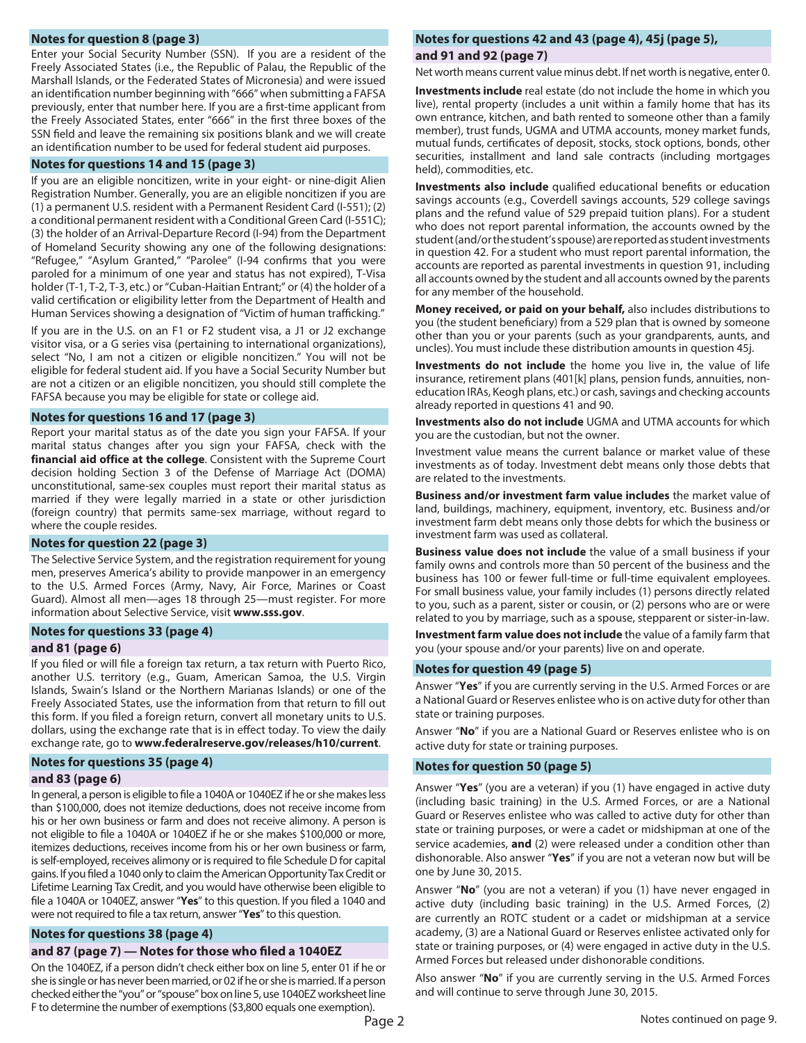#### <span id="page-1-1"></span>**Notes for question [8](#page-2-1) (page 3)**

Enter your Social Security Number (SSN). If you are a resident of the Freely Associated States (i.e., the Republic of Palau, the Republic of the Marshall Islands, or the Federated States of Micronesia) and were issued an identification number beginning with "666" when submitting a FAFSA previously, enter that number here. If you are a first-time applicant from the Freely Associated States, enter "666" in the first three boxes of the SSN field and leave the remaining six positions blank and we will create an identification number to be used for federal student aid purposes.

#### **Notes for questions [14](#page-2-2) and [15](#page-2-3) (page 3)**

If you are an eligible noncitizen, write in your eight- or nine-digit Alien Registration Number. Generally, you are an eligible noncitizen if you are (1) a permanent U.S. resident with a Permanent Resident Card (I-551); (2) a conditional permanent resident with a Conditional Green Card (I-551C); (3) the holder of an Arrival-Departure Record (I-94) from the Department of Homeland Security showing any one of the following designations: "Refugee," "Asylum Granted," "Parolee" (I-94 confirms that you were paroled for a minimum of one year and status has not expired), T-Visa holder (T-1, T-2, T-3, etc.) or "Cuban-Haitian Entrant;" or (4) the holder of a valid certification or eligibility letter from the Department of Health and Human Services showing a designation of "Victim of human trafficking."

If you are in the U.S. on an F1 or F2 student visa, a J1 or J2 exchange visitor visa, or a G series visa (pertaining to international organizations), select "No, I am not a citizen or eligible noncitizen." You will not be eligible for federal student aid. If you have a Social Security Number but are not a citizen or an eligible noncitizen, you should still complete the FAFSA because you may be eligible for state or college aid.

#### <span id="page-1-0"></span>**Notes for questions [16](#page-2-4) and [17](#page-2-5) (page 3)**

Report your marital status as of the date you sign your FAFSA. If your marital status changes after you sign your FAFSA, check with the **financial aid office at the college**. Consistent with the Supreme Court decision holding Section 3 of the Defense of Marriage Act (DOMA) unconstitutional, same-sex couples must report their marital status as married if they were legally married in a state or other jurisdiction (foreign country) that permits same-sex marriage, without regard to where the couple resides.

#### <span id="page-1-2"></span>**Notes for question [22](#page-2-6) (page 3)**

The Selective Service System, and the registration requirement for young men, preserves America's ability to provide manpower in an emergency to the U.S. Armed Forces (Army, Navy, Air Force, Marines or Coast Guard). Almost all men—ages 18 through 25—must register. For more information about Selective Service, visit **[www.sss.gov](http://www.sss.gov)**.

#### <span id="page-1-9"></span><span id="page-1-3"></span>**Notes for questions [33](#page-3-0) (page 4)**

#### **and [81](#page-5-0) (page 6)**

If you filed or will file a foreign tax return, a tax return with Puerto Rico, another U.S. territory (e.g., Guam, American Samoa, the U.S. Virgin Islands, Swain's Island or the Northern Marianas Islands) or one of the Freely Associated States, use the information from that return to fill out this form. If you filed a foreign return, convert all monetary units to U.S. dollars, using the exchange rate that is in effect today. To view the daily exchange rate, go to **[www.federalreserve.gov/releases/h10/current](http://www.federalreserve.gov/releases/h10/current)**.

#### <span id="page-1-8"></span>**Notes for questions [35](#page-3-1) (page 4)**

#### **and [83](#page-5-1) (page 6)**

In general, a person is eligible to file a 1040A or 1040EZ if he or she makes less than \$100,000, does not itemize deductions, does not receive income from his or her own business or farm and does not receive alimony. A person is not eligible to file a 1040A or 1040EZ if he or she makes \$100,000 or more, itemizes deductions, receives income from his or her own business or farm, is self-employed, receives alimony or is required to file Schedule D for capital gains. If you filed a 1040 only to claim the American Opportunity Tax Credit or Lifetime Learning Tax Credit, and you would have otherwise been eligible to file a 1040A or 1040EZ, answer "**Yes**" to this question. If you filed a 1040 and were not required to file a tax return, answer "**Yes**"to this question.

#### <span id="page-1-11"></span><span id="page-1-5"></span>**Notes for questions [38 \(](#page-3-2)page 4)**

#### **and [87](#page-6-0) (page 7) — Notes for those who filed a 1040EZ**

On the 1040EZ, if a person didn't check either box on line 5, enter 01 if he or she is single or has never been married, or 02 if he or she is married. If a person checked either the "you" or "spouse" box on line 5, use 1040EZ worksheet line F to determine the number of exemptions (\$3,800 equals one exemption).

#### <span id="page-1-4"></span>**Notes for questions [42 a](#page-3-3)nd [43 \(](#page-3-4)page 4), [45j](#page-4-0) (page 5),**

#### <span id="page-1-10"></span>**and [91 a](#page-6-1)nd [92](#page-6-2) (page 7)**

Net worth means current value minus debt. If net worth is negative, enter 0.

**Investments include** real estate (do not include the home in which you live), rental property (includes a unit within a family home that has its own entrance, kitchen, and bath rented to someone other than a family member), trust funds, UGMA and UTMA accounts, money market funds, mutual funds, certificates of deposit, stocks, stock options, bonds, other securities, installment and land sale contracts (including mortgages held), commodities, etc.

**Investments also include** qualified educational benefits or education savings accounts (e.g., Coverdell savings accounts, 529 college savings plans and the refund value of 529 prepaid tuition plans). For a student who does not report parental information, the accounts owned by the student (and/or the student's spouse) are reported as student investments in question 42. For a student who must report parental information, the accounts are reported as parental investments in question 91, including all accounts owned by the student and all accounts owned by the parents for any member of the household.

**Money received, or paid on your behalf,** also includes distributions to you (the student beneficiary) from a 529 plan that is owned by someone other than you or your parents (such as your grandparents, aunts, and uncles). You must include these distribution amounts in question 45j.

**Investments do not include** the home you live in, the value of life insurance, retirement plans (401[k] plans, pension funds, annuities, noneducation IRAs, Keogh plans, etc.) or cash, savings and checking accounts already reported in questions 41 and 90.

**Investments also do not include** UGMA and UTMA accounts for which you are the custodian, but not the owner.

Investment value means the current balance or market value of these investments as of today. Investment debt means only those debts that are related to the investments.

**Business and/or investment farm value includes** the market value of land, buildings, machinery, equipment, inventory, etc. Business and/or investment farm debt means only those debts for which the business or investment farm was used as collateral.

**Business value does not include** the value of a small business if your family owns and controls more than 50 percent of the business and the business has 100 or fewer full-time or full-time equivalent employees. For small business value, your family includes (1) persons directly related to you, such as a parent, sister or cousin, or (2) persons who are or were related to you by marriage, such as a spouse, stepparent or sister-in-law.

**Investment farm value does not include** the value of a family farm that you (your spouse and/or your parents) live on and operate.

#### <span id="page-1-6"></span>**Notes for question [49](#page-4-1) (page 5)**

Answer "**Yes**" if you are currently serving in the U.S. Armed Forces or are a National Guard or Reserves enlistee who is on active duty for other than state or training purposes.

Answer "**No**" if you are a National Guard or Reserves enlistee who is on active duty for state or training purposes.

#### <span id="page-1-7"></span>**Notes for question [50](#page-4-2) (page 5)**

Answer "**Yes**" (you are a veteran) if you (1) have engaged in active duty (including basic training) in the U.S. Armed Forces, or are a National Guard or Reserves enlistee who was called to active duty for other than state or training purposes, or were a cadet or midshipman at one of the service academies, **and** (2) were released under a condition other than dishonorable. Also answer "**Yes**" if you are not a veteran now but will be one by June 30, 2015.

Answer "**No**" (you are not a veteran) if you (1) have never engaged in active duty (including basic training) in the U.S. Armed Forces, (2) are currently an ROTC student or a cadet or midshipman at a service academy, (3) are a National Guard or Reserves enlistee activated only for state or training purposes, or (4) were engaged in active duty in the U.S. Armed Forces but released under dishonorable conditions.

Also answer "**No**" if you are currently serving in the U.S. Armed Forces and will continue to serve through June 30, 2015.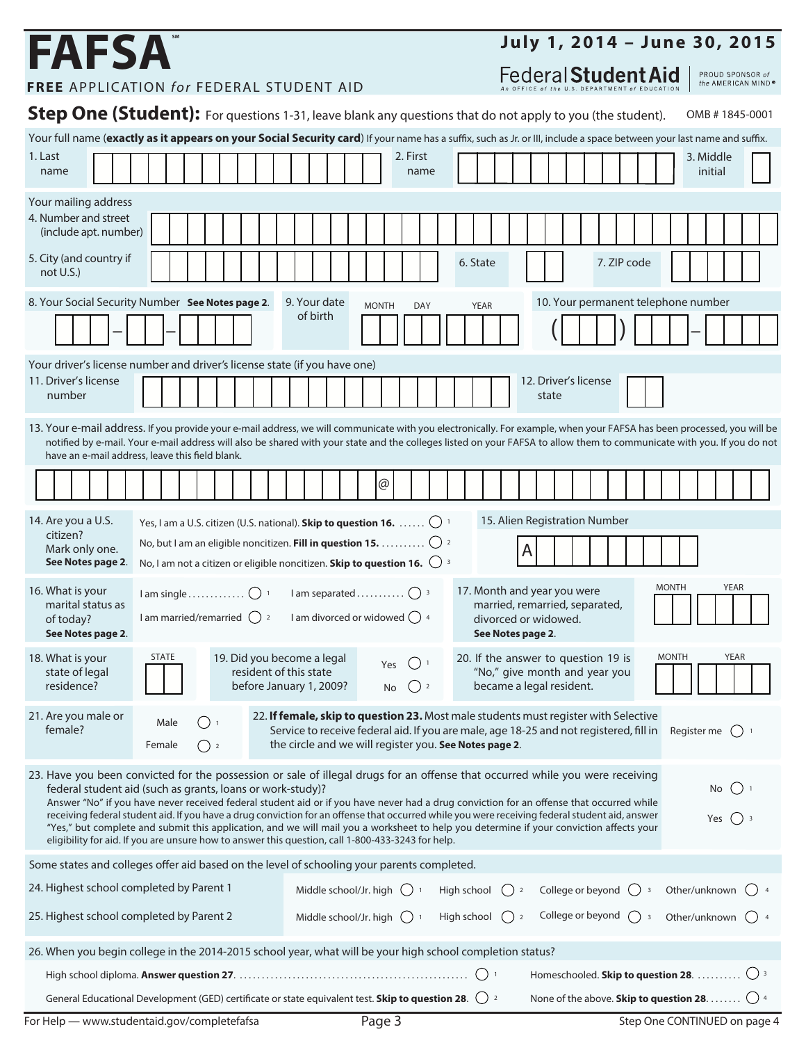# **FAFSA**

## **July 1, 2014 – June 30, 2015**

<span id="page-2-5"></span><span id="page-2-3"></span>Federal Student Aid

PROUD SPONSOR of<br>the AMERICAN MIND®

**FREE** APPLICATION *for* FEDERAL STUDENT AID

<span id="page-2-7"></span><span id="page-2-6"></span><span id="page-2-4"></span><span id="page-2-2"></span><span id="page-2-1"></span><span id="page-2-0"></span>

| Step One (Student): For questions 1-31, leave blank any questions that do not apply to you (the student).<br>OMB #1845-0001                                                                                                                                                                                                                                                                                                                                                                                                                                                                                                                                                                                                                                               |                                                                                                                                                                                                                                                                                                                                                                                                     |  |  |  |  |  |
|---------------------------------------------------------------------------------------------------------------------------------------------------------------------------------------------------------------------------------------------------------------------------------------------------------------------------------------------------------------------------------------------------------------------------------------------------------------------------------------------------------------------------------------------------------------------------------------------------------------------------------------------------------------------------------------------------------------------------------------------------------------------------|-----------------------------------------------------------------------------------------------------------------------------------------------------------------------------------------------------------------------------------------------------------------------------------------------------------------------------------------------------------------------------------------------------|--|--|--|--|--|
| Your full name (exactly as it appears on your Social Security card) If your name has a suffix, such as Jr. or III, include a space between your last name and suffix.                                                                                                                                                                                                                                                                                                                                                                                                                                                                                                                                                                                                     |                                                                                                                                                                                                                                                                                                                                                                                                     |  |  |  |  |  |
| 1. Last<br>name                                                                                                                                                                                                                                                                                                                                                                                                                                                                                                                                                                                                                                                                                                                                                           | 2. First<br>3. Middle<br>initial<br>name                                                                                                                                                                                                                                                                                                                                                            |  |  |  |  |  |
| Your mailing address                                                                                                                                                                                                                                                                                                                                                                                                                                                                                                                                                                                                                                                                                                                                                      |                                                                                                                                                                                                                                                                                                                                                                                                     |  |  |  |  |  |
| 4. Number and street<br>(include apt. number)                                                                                                                                                                                                                                                                                                                                                                                                                                                                                                                                                                                                                                                                                                                             |                                                                                                                                                                                                                                                                                                                                                                                                     |  |  |  |  |  |
| 5. City (and country if<br>not $U.S.$ )                                                                                                                                                                                                                                                                                                                                                                                                                                                                                                                                                                                                                                                                                                                                   | 7. ZIP code<br>6. State                                                                                                                                                                                                                                                                                                                                                                             |  |  |  |  |  |
|                                                                                                                                                                                                                                                                                                                                                                                                                                                                                                                                                                                                                                                                                                                                                                           | 8. Your Social Security Number See Notes page 2.<br>10. Your permanent telephone number<br>9. Your date<br><b>MONTH</b><br><b>DAY</b><br><b>YEAR</b>                                                                                                                                                                                                                                                |  |  |  |  |  |
|                                                                                                                                                                                                                                                                                                                                                                                                                                                                                                                                                                                                                                                                                                                                                                           | of birth                                                                                                                                                                                                                                                                                                                                                                                            |  |  |  |  |  |
|                                                                                                                                                                                                                                                                                                                                                                                                                                                                                                                                                                                                                                                                                                                                                                           | Your driver's license number and driver's license state (if you have one)                                                                                                                                                                                                                                                                                                                           |  |  |  |  |  |
| 11. Driver's license<br>number                                                                                                                                                                                                                                                                                                                                                                                                                                                                                                                                                                                                                                                                                                                                            | 12. Driver's license<br>state                                                                                                                                                                                                                                                                                                                                                                       |  |  |  |  |  |
|                                                                                                                                                                                                                                                                                                                                                                                                                                                                                                                                                                                                                                                                                                                                                                           | 13. Your e-mail address. If you provide your e-mail address, we will communicate with you electronically. For example, when your FAFSA has been processed, you will be<br>notified by e-mail. Your e-mail address will also be shared with your state and the colleges listed on your FAFSA to allow them to communicate with you. If you do not<br>have an e-mail address, leave this field blank. |  |  |  |  |  |
|                                                                                                                                                                                                                                                                                                                                                                                                                                                                                                                                                                                                                                                                                                                                                                           | @                                                                                                                                                                                                                                                                                                                                                                                                   |  |  |  |  |  |
| 14. Are you a U.S.                                                                                                                                                                                                                                                                                                                                                                                                                                                                                                                                                                                                                                                                                                                                                        | 15. Alien Registration Number<br>Yes, I am a U.S. citizen (U.S. national). Skip to question 16. $\ldots \ldots$ $\bigcirc$ 1                                                                                                                                                                                                                                                                        |  |  |  |  |  |
| citizen?<br>Mark only one.<br>See Notes page 2.                                                                                                                                                                                                                                                                                                                                                                                                                                                                                                                                                                                                                                                                                                                           | No, but I am an eligible noncitizen. Fill in question 15. $\bigcirc$ 2<br>Α<br>No, I am not a citizen or eligible noncitizen. Skip to question 16. $\bigcirc$ 3                                                                                                                                                                                                                                     |  |  |  |  |  |
| 16. What is your<br>marital status as<br>of today?<br>See Notes page 2.                                                                                                                                                                                                                                                                                                                                                                                                                                                                                                                                                                                                                                                                                                   | <b>YEAR</b><br><b>MONTH</b><br>17. Month and year you were<br>I am separated $\bigcirc$ <sup>3</sup><br>married, remarried, separated,<br>I am divorced or widowed $\bigcirc$ 4<br>I am married/remarried $\bigcirc$ 2<br>divorced or widowed.<br>See Notes page 2.                                                                                                                                 |  |  |  |  |  |
| 18. What is your<br>state of legal<br>residence?                                                                                                                                                                                                                                                                                                                                                                                                                                                                                                                                                                                                                                                                                                                          | 19. Did you become a legal<br>20. If the answer to question 19 is<br><b>STATE</b><br><b>MONTH</b><br>YEAR<br>Yes<br>resident of this state<br>"No," give month and year you<br>$\bigcirc$ 2<br>became a legal resident.<br>before January 1, 2009?<br>No                                                                                                                                            |  |  |  |  |  |
| 21. Are you male or<br>female?                                                                                                                                                                                                                                                                                                                                                                                                                                                                                                                                                                                                                                                                                                                                            | 22. If female, skip to question 23. Most male students must register with Selective<br>Male<br>Service to receive federal aid. If you are male, age 18-25 and not registered, fill in<br>Register me $\bigcap$ 1<br>the circle and we will register you. See Notes page 2.<br>Female<br>$\left( \begin{array}{c} 1 \end{array} \right)$ 2                                                           |  |  |  |  |  |
| 23. Have you been convicted for the possession or sale of illegal drugs for an offense that occurred while you were receiving<br>No $\bigcap$ 1<br>federal student aid (such as grants, loans or work-study)?<br>Answer "No" if you have never received federal student aid or if you have never had a drug conviction for an offense that occurred while<br>receiving federal student aid. If you have a drug conviction for an offense that occurred while you were receiving federal student aid, answer<br>Yes $()$ 3<br>"Yes," but complete and submit this application, and we will mail you a worksheet to help you determine if your conviction affects your<br>eligibility for aid. If you are unsure how to answer this question, call 1-800-433-3243 for help. |                                                                                                                                                                                                                                                                                                                                                                                                     |  |  |  |  |  |
| Some states and colleges offer aid based on the level of schooling your parents completed.                                                                                                                                                                                                                                                                                                                                                                                                                                                                                                                                                                                                                                                                                |                                                                                                                                                                                                                                                                                                                                                                                                     |  |  |  |  |  |
| 24. Highest school completed by Parent 1                                                                                                                                                                                                                                                                                                                                                                                                                                                                                                                                                                                                                                                                                                                                  | College or beyond $\bigcirc$ 3<br>Other/unknown $\bigcirc$ 4<br>Middle school/Jr. high $\bigcirc$ 1<br>High school<br>$\binom{2}{2}$                                                                                                                                                                                                                                                                |  |  |  |  |  |
| 25. Highest school completed by Parent 2                                                                                                                                                                                                                                                                                                                                                                                                                                                                                                                                                                                                                                                                                                                                  | College or beyond $\bigcap_3$<br>Other/unknown () 4<br>Middle school/Jr. high $\bigcap$ 1<br>High school<br>$\binom{2}{2}$                                                                                                                                                                                                                                                                          |  |  |  |  |  |
|                                                                                                                                                                                                                                                                                                                                                                                                                                                                                                                                                                                                                                                                                                                                                                           | 26. When you begin college in the 2014-2015 school year, what will be your high school completion status?                                                                                                                                                                                                                                                                                           |  |  |  |  |  |
|                                                                                                                                                                                                                                                                                                                                                                                                                                                                                                                                                                                                                                                                                                                                                                           | Homeschooled. Skip to question 28. 0 3                                                                                                                                                                                                                                                                                                                                                              |  |  |  |  |  |
|                                                                                                                                                                                                                                                                                                                                                                                                                                                                                                                                                                                                                                                                                                                                                                           | General Educational Development (GED) certificate or state equivalent test. Skip to question 28. $\bigcirc$ 2<br>None of the above. Skip to question 28. $\bigcirc$ 4                                                                                                                                                                                                                               |  |  |  |  |  |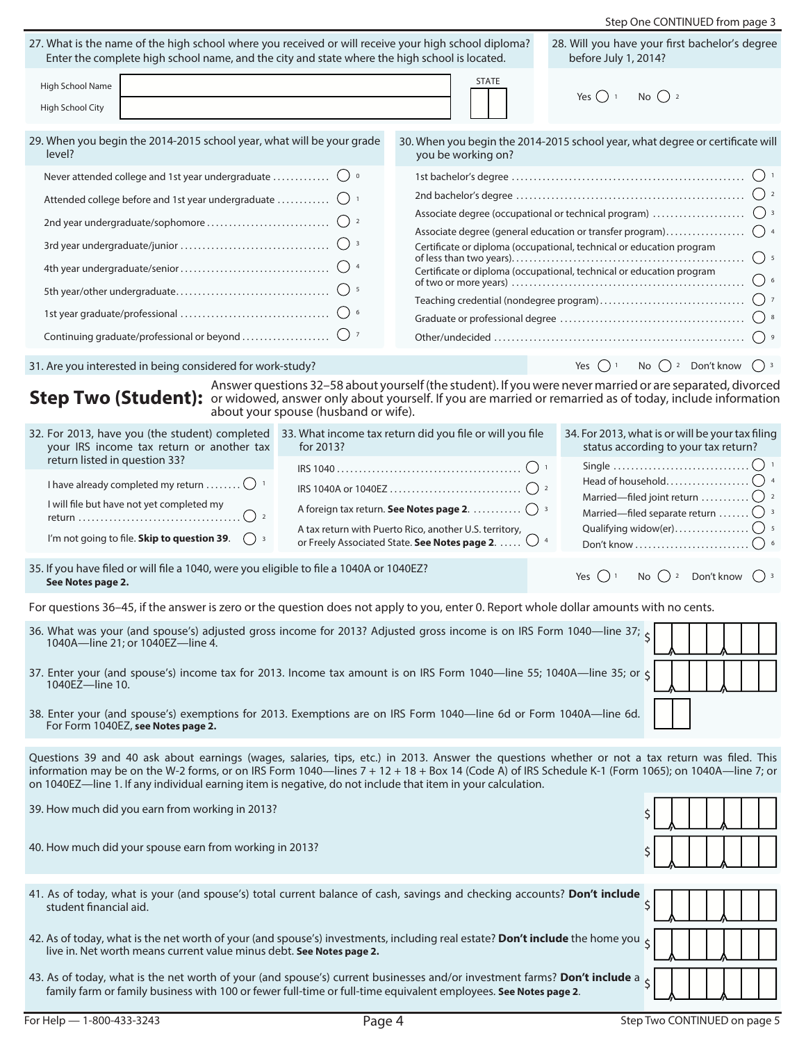<span id="page-3-7"></span><span id="page-3-6"></span><span id="page-3-5"></span><span id="page-3-4"></span><span id="page-3-3"></span><span id="page-3-2"></span><span id="page-3-1"></span><span id="page-3-0"></span>

|                                                                                                                                                                                                                                                                                                                                                                                                                                                                                                                                                                                                                                             |                                                                                                                                                                        | Step One CONTINUED from page 3                                                                                                                                                                                                                                                                               |  |  |  |  |  |
|---------------------------------------------------------------------------------------------------------------------------------------------------------------------------------------------------------------------------------------------------------------------------------------------------------------------------------------------------------------------------------------------------------------------------------------------------------------------------------------------------------------------------------------------------------------------------------------------------------------------------------------------|------------------------------------------------------------------------------------------------------------------------------------------------------------------------|--------------------------------------------------------------------------------------------------------------------------------------------------------------------------------------------------------------------------------------------------------------------------------------------------------------|--|--|--|--|--|
| 27. What is the name of the high school where you received or will receive your high school diploma?<br>Enter the complete high school name, and the city and state where the high school is located.                                                                                                                                                                                                                                                                                                                                                                                                                                       |                                                                                                                                                                        | 28. Will you have your first bachelor's degree<br>before July 1, 2014?                                                                                                                                                                                                                                       |  |  |  |  |  |
| High School Name<br>High School City                                                                                                                                                                                                                                                                                                                                                                                                                                                                                                                                                                                                        | Yes $\bigcap$ 1 No $\bigcap$ 2                                                                                                                                         |                                                                                                                                                                                                                                                                                                              |  |  |  |  |  |
| 29. When you begin the 2014-2015 school year, what will be your grade<br>level?                                                                                                                                                                                                                                                                                                                                                                                                                                                                                                                                                             | you be working on?                                                                                                                                                     | 30. When you begin the 2014-2015 school year, what degree or certificate will                                                                                                                                                                                                                                |  |  |  |  |  |
| Never attended college and 1st year undergraduate $\bigcirc$ o<br>Attended college before and 1st year undergraduate $\bigcirc$ 1<br>31. Are you interested in being considered for work-study?                                                                                                                                                                                                                                                                                                                                                                                                                                             |                                                                                                                                                                        | $()$ 4<br>Associate degree (general education or transfer program)<br>Certificate or diploma (occupational, technical or education program<br>$()$ 5<br>Certificate or diploma (occupational, technical or education program<br>$\Big)$ 6<br>Yes $\bigcap$ <sup>1</sup> No $\bigcap$ <sup>2</sup> Don't know |  |  |  |  |  |
| Step Two (Student): or widowed, answer only about yourself. If you are married or remarried as of today, include information<br>about your spouse (husband or wife).                                                                                                                                                                                                                                                                                                                                                                                                                                                                        |                                                                                                                                                                        | Answer questions 32-58 about yourself (the student). If you were never married or are separated, divorced                                                                                                                                                                                                    |  |  |  |  |  |
| 32. For 2013, have you (the student) completed 33. What income tax return did you file or will you file<br>your IRS income tax return or another tax<br>for 2013?<br>return listed in question 33?<br>I have already completed my return $\bigcirc$ <sup>1</sup><br>I will file but have not yet completed my<br>$\left(\begin{array}{c} \end{array}\right)$ 2<br>I'm not going to file. Skip to question 39.<br>$\left( \begin{array}{c} \end{array} \right)$ 3                                                                                                                                                                            | A foreign tax return. See Notes page 2.  ( ) 3<br>A tax return with Puerto Rico, another U.S. territory,<br>or Freely Associated State. See Notes page 2. $\bigcirc$ 4 | 34. For 2013, what is or will be your tax filing<br>status according to your tax return?<br>Married—filed separate return $\bigcirc$ 3                                                                                                                                                                       |  |  |  |  |  |
| 35. If you have filed or will file a 1040, were you eligible to file a 1040A or 1040EZ?<br>See Notes page 2.                                                                                                                                                                                                                                                                                                                                                                                                                                                                                                                                |                                                                                                                                                                        | Yes $\bigcap$ 1<br>No $\bigcap$ 2 Don't know                                                                                                                                                                                                                                                                 |  |  |  |  |  |
| For questions 36–45, if the answer is zero or the question does not apply to you, enter 0. Report whole dollar amounts with no cents.<br>36. What was your (and spouse's) adjusted gross income for 2013? Adjusted gross income is on IRS Form 1040—line 37;<br>1040A-line 21; or 1040EZ-line 4.<br>37. Enter your (and spouse's) income tax for 2013. Income tax amount is on IRS Form 1040—line 55; 1040A—line 35; or $\zeta$<br>1040EZ-line 10.<br>38. Enter your (and spouse's) exemptions for 2013. Exemptions are on IRS Form 1040-line 6d or Form 1040A-line 6d.<br>For Form 1040EZ, see Notes page 2.                               |                                                                                                                                                                        |                                                                                                                                                                                                                                                                                                              |  |  |  |  |  |
| Questions 39 and 40 ask about earnings (wages, salaries, tips, etc.) in 2013. Answer the questions whether or not a tax return was filed. This<br>information may be on the W-2 forms, or on IRS Form 1040-lines 7 + 12 + 18 + Box 14 (Code A) of IRS Schedule K-1 (Form 1065); on 1040A-line 7; or<br>on 1040EZ—line 1. If any individual earning item is negative, do not include that item in your calculation.<br>39. How much did you earn from working in 2013?<br>40. How much did your spouse earn from working in 2013?<br>Ś                                                                                                       |                                                                                                                                                                        |                                                                                                                                                                                                                                                                                                              |  |  |  |  |  |
| 41. As of today, what is your (and spouse's) total current balance of cash, savings and checking accounts? Don't include<br>\$<br>student financial aid.<br>42. As of today, what is the net worth of your (and spouse's) investments, including real estate? Don't include the home you<br>$\overline{\mathsf{S}}$<br>live in. Net worth means current value minus debt. See Notes page 2.<br>43. As of today, what is the net worth of your (and spouse's) current businesses and/or investment farms? Don't include a<br>family farm or family business with 100 or fewer full-time or full-time equivalent employees. See Notes page 2. |                                                                                                                                                                        |                                                                                                                                                                                                                                                                                                              |  |  |  |  |  |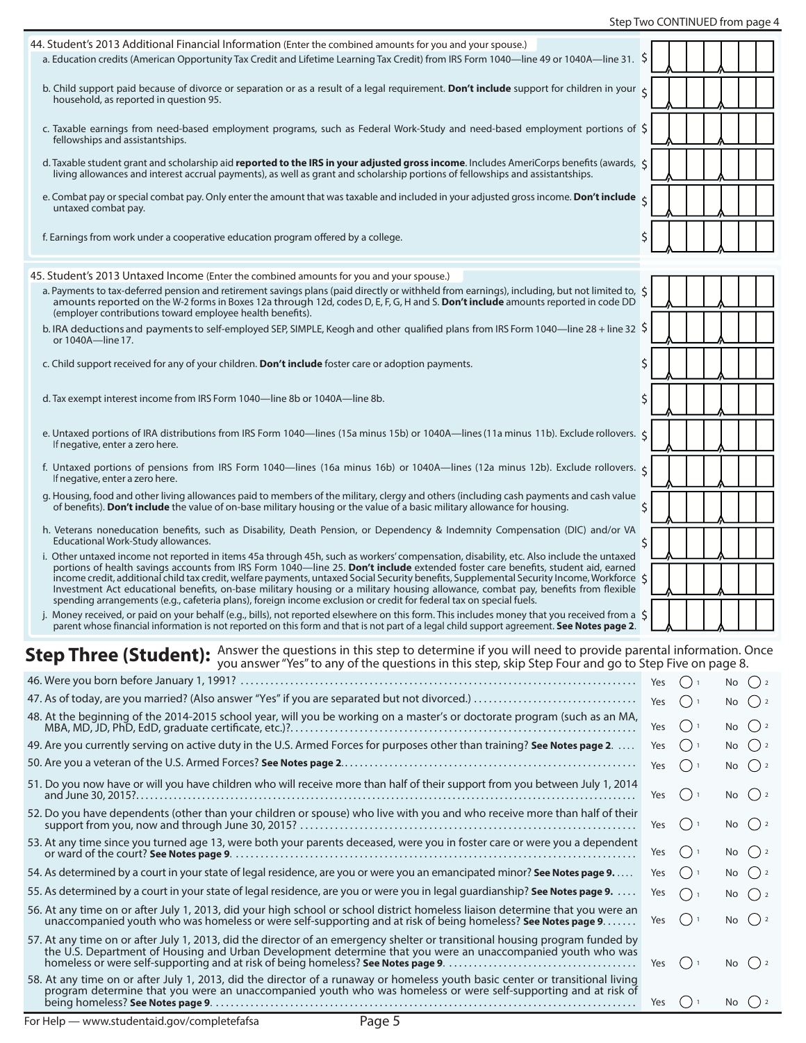#### Step Two CONTINUED from page 4

<span id="page-4-8"></span><span id="page-4-7"></span><span id="page-4-6"></span><span id="page-4-5"></span><span id="page-4-4"></span><span id="page-4-3"></span><span id="page-4-2"></span><span id="page-4-1"></span><span id="page-4-0"></span>

| 44. Student's 2013 Additional Financial Information (Enter the combined amounts for you and your spouse.)                                                                                                                                                                                                                                                                                                                                                                                                                                       |            |                                    |     |                   |                                                   |
|-------------------------------------------------------------------------------------------------------------------------------------------------------------------------------------------------------------------------------------------------------------------------------------------------------------------------------------------------------------------------------------------------------------------------------------------------------------------------------------------------------------------------------------------------|------------|------------------------------------|-----|-------------------|---------------------------------------------------|
| a. Education credits (American Opportunity Tax Credit and Lifetime Learning Tax Credit) from IRS Form 1040—line 49 or 1040A—line 31. \$                                                                                                                                                                                                                                                                                                                                                                                                         |            |                                    |     |                   |                                                   |
| b. Child support paid because of divorce or separation or as a result of a legal requirement. Don't include support for children in your<br>household, as reported in question 95.                                                                                                                                                                                                                                                                                                                                                              |            |                                    |     |                   |                                                   |
| c. Taxable earnings from need-based employment programs, such as Federal Work-Study and need-based employment portions of $\zeta$<br>fellowships and assistantships.                                                                                                                                                                                                                                                                                                                                                                            |            |                                    |     |                   |                                                   |
| d. Taxable student grant and scholarship aid reported to the IRS in your adjusted gross income. Includes AmeriCorps benefits (awards, $\zeta$<br>living allowances and interest accrual payments), as well as grant and scholarship portions of fellowships and assistantships.                                                                                                                                                                                                                                                                 |            |                                    |     |                   |                                                   |
| e. Combat pay or special combat pay. Only enter the amount that was taxable and included in your adjusted gross income. Don't include<br>untaxed combat pay.                                                                                                                                                                                                                                                                                                                                                                                    |            |                                    |     |                   |                                                   |
| f. Earnings from work under a cooperative education program offered by a college.                                                                                                                                                                                                                                                                                                                                                                                                                                                               | \$         |                                    |     |                   |                                                   |
|                                                                                                                                                                                                                                                                                                                                                                                                                                                                                                                                                 |            |                                    |     |                   |                                                   |
| 45. Student's 2013 Untaxed Income (Enter the combined amounts for you and your spouse.)<br>a. Payments to tax-deferred pension and retirement savings plans (paid directly or withheld from earnings), including, but not limited to, $\zeta$<br>amounts reported on the W-2 forms in Boxes 12a through 12d, codes D, E, F, G, H and S. Don't include amounts reported in code DD                                                                                                                                                               |            |                                    |     |                   |                                                   |
| (employer contributions toward employee health benefits).<br>b. IRA deductions and payments to self-employed SEP, SIMPLE, Keogh and other qualified plans from IRS Form 1040—line 28 + line 32 \$<br>or 1040A-line 17.                                                                                                                                                                                                                                                                                                                          |            |                                    |     |                   |                                                   |
| c. Child support received for any of your children. <b>Don't include</b> foster care or adoption payments.                                                                                                                                                                                                                                                                                                                                                                                                                                      | \$         |                                    |     |                   |                                                   |
| d. Tax exempt interest income from IRS Form 1040—line 8b or 1040A—line 8b.                                                                                                                                                                                                                                                                                                                                                                                                                                                                      | \$         |                                    |     |                   |                                                   |
| e. Untaxed portions of IRA distributions from IRS Form 1040—lines (15a minus 15b) or 1040A—lines (11a minus 11b). Exclude rollovers. $\zeta$<br>If negative, enter a zero here.                                                                                                                                                                                                                                                                                                                                                                 |            |                                    |     |                   |                                                   |
| f. Untaxed portions of pensions from IRS Form 1040-lines (16a minus 16b) or 1040A-lines (12a minus 12b). Exclude rollovers. $\zeta$<br>If negative, enter a zero here.                                                                                                                                                                                                                                                                                                                                                                          |            |                                    |     |                   |                                                   |
| g. Housing, food and other living allowances paid to members of the military, clergy and others (including cash payments and cash value<br>of benefits). Don't include the value of on-base military housing or the value of a basic military allowance for housing.                                                                                                                                                                                                                                                                            | Ś.         |                                    |     |                   |                                                   |
| h. Veterans noneducation benefits, such as Disability, Death Pension, or Dependency & Indemnity Compensation (DIC) and/or VA<br>Educational Work-Study allowances.<br>i. Other untaxed income not reported in items 45a through 45h, such as workers' compensation, disability, etc. Also include the untaxed                                                                                                                                                                                                                                   | \$         |                                    |     |                   |                                                   |
| portions of health savings accounts from IRS Form 1040—line 25. Don't include extended foster care benefits, student aid, earned<br>income credit, additional child tax credit, welfare payments, untaxed Social Security benefits, Supplemental Security Income, Workforce $\zeta$<br>Investment Act educational benefits, on-base military housing or a military housing allowance, combat pay, benefits from flexible<br>spending arrangements (e.g., cafeteria plans), foreign income exclusion or credit for federal tax on special fuels. |            |                                    |     |                   |                                                   |
| j. Money received, or paid on your behalf (e.g., bills), not reported elsewhere on this form. This includes money that you received from a \$<br>parent whose financial information is not reported on this form and that is not part of a legal child support agreement. See Notes page 2.                                                                                                                                                                                                                                                     |            |                                    |     |                   |                                                   |
| Step Three (Student): Answer the questions in this step to determine if you will need to provide parental information. Once<br>you answer "Yes" to any of the questions in this step, skip Step Four and go to Step Five on page 8.                                                                                                                                                                                                                                                                                                             |            |                                    |     |                   |                                                   |
|                                                                                                                                                                                                                                                                                                                                                                                                                                                                                                                                                 | Yes        | $\bigcirc$ 1                       |     | No $()$ 2         |                                                   |
|                                                                                                                                                                                                                                                                                                                                                                                                                                                                                                                                                 | Yes        | () <sub>1</sub>                    |     | No                | $\left( \begin{array}{c} 1 \end{array} \right)$ 2 |
| 49. Are you currently serving on active duty in the U.S. Armed Forces for purposes other than training? See Notes page 2.                                                                                                                                                                                                                                                                                                                                                                                                                       | Yes        | () <sub>1</sub>                    | No  |                   |                                                   |
|                                                                                                                                                                                                                                                                                                                                                                                                                                                                                                                                                 | Yes<br>Yes | () <sub>1</sub><br>() <sub>1</sub> | No. | No l              | $\left( \begin{array}{c} 2 \end{array} \right)$   |
| 51. Do you now have or will you have children who will receive more than half of their support from you between July 1, 2014                                                                                                                                                                                                                                                                                                                                                                                                                    | Yes        | $\bigcirc$ 1                       |     | No                | $\left( \quad \right)$ 2                          |
| 52. Do you have dependents (other than your children or spouse) who live with you and who receive more than half of their                                                                                                                                                                                                                                                                                                                                                                                                                       | Yes        | () <sub>1</sub>                    |     | No $()$ 2         |                                                   |
| 53. At any time since you turned age 13, were both your parents deceased, were you in foster care or were you a dependent                                                                                                                                                                                                                                                                                                                                                                                                                       | Yes        | ()1                                |     | No                |                                                   |
| 54. As determined by a court in your state of legal residence, are you or were you an emancipated minor? See Notes page 9                                                                                                                                                                                                                                                                                                                                                                                                                       | Yes        | () <sub>1</sub>                    | No. |                   |                                                   |
| 55. As determined by a court in your state of legal residence, are you or were you in legal guardianship? See Notes page 9.                                                                                                                                                                                                                                                                                                                                                                                                                     | Yes        | $( )$ 1                            |     | No                |                                                   |
| 56. At any time on or after July 1, 2013, did your high school or school district homeless liaison determine that you were an<br>unaccompanied youth who was homeless or were self-supporting and at risk of being homeless? See Notes page 9                                                                                                                                                                                                                                                                                                   | Yes        | () <sub>1</sub>                    | No  |                   |                                                   |
| 57. At any time on or after July 1, 2013, did the director of an emergency shelter or transitional housing program funded by<br>the U.S. Department of Housing and Urban Development determine that you were an unaccompanied youth who was<br>58. At any time on or after July 1, 2013, did the director of a runaway or homeless youth basic center or transitional living                                                                                                                                                                    | Yes        | () <sub>1</sub>                    |     | No                |                                                   |
| program determine that you were an unaccompanied youth who was homeless or were self-supporting and at risk of                                                                                                                                                                                                                                                                                                                                                                                                                                  | Yes        | () <sub>1</sub>                    |     | No $\binom{3}{2}$ |                                                   |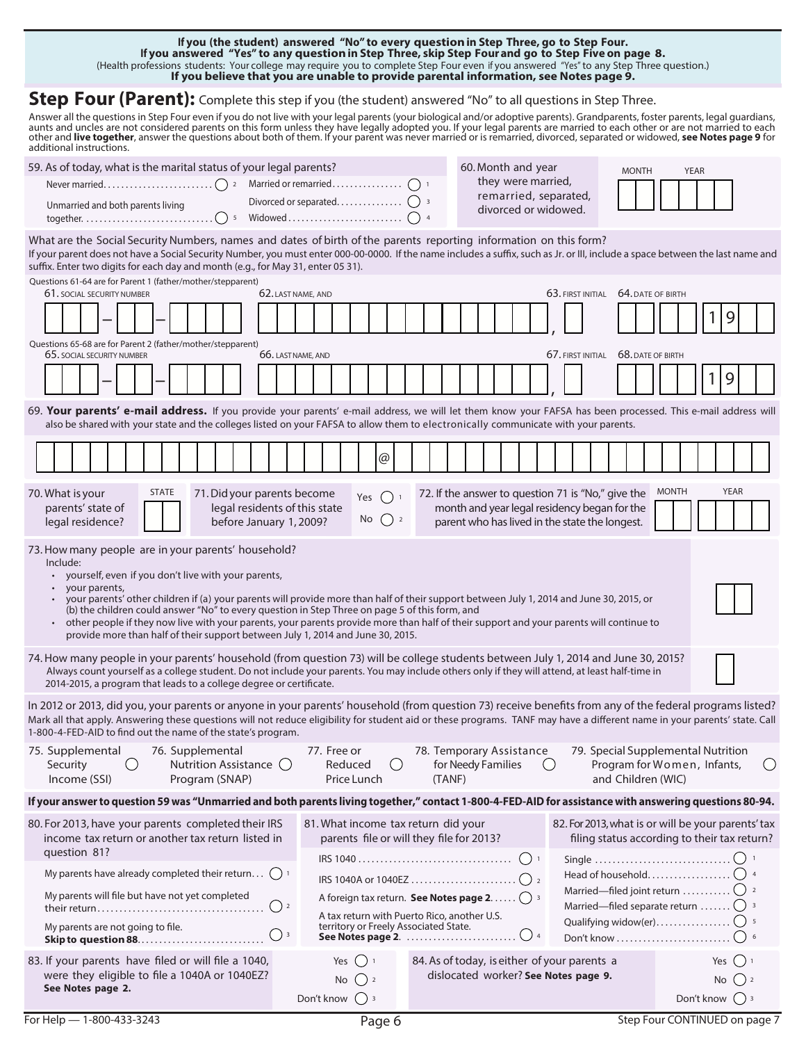<span id="page-5-3"></span>**Step Four (Parent):** Complete this step if you (the student) answered "No" to all questions in Step Three. Answer all the questions in Step Four even if you do not live with your legal parents (your biological and/or adoptive parents). Grandparents, foster parents, legal guardians,<br>aunts and uncles are not considered parents on other and **live together**, answer the questions about both of them. If your parent was never married or is remarried, divorced, separated or widowed, **[see Notes page 9](#page-8-3)** for additional instructions. 59. As of today, what is the marital status of your legal parents? 60. Month and year they were married, remarried, separated, divorced or widowed. Divorced or separated. . . 3 Never married.  $\ldots\ldots\ldots\ldots\ldots\ldots\ldots\ldots\ldots\ldots$  a Married or remarried  $\ldots\ldots\ldots\ldots\ldots\ldots\ldots$ MONTH YEAR Widowed . . . . . . . . . . . . . . . . . . . . . . . . . . 4 together.. . 5 **If you (the student) answered "No" to every question in Step Three, [go to Step Four.](#page-5-3) If you answered "Yes" to any question in Step Three, skip Step Four and [go to Step Five](#page-7-0) on page 8.** (Health professions students: Your college may require you to complete Step Four even if you answered "Yes" to any Step Three question.) **If you believe that you are unable to provide parental information, [see Notes page 9](#page-8-5).** What are the Social Security Numbers, names and dates of birth of the parents reporting information on this form? Unmarried and both parents living

<span id="page-5-4"></span>If your parent does not have a Social Security Number, you must enter 000-00-0000. If the name includes a suffix, such as Jr. or III, include a space between the last name and suffix. Enter two digits for each day and month (e.g., for May 31, enter 05 31).

<span id="page-5-5"></span><span id="page-5-2"></span><span id="page-5-1"></span><span id="page-5-0"></span>

| Questions 61-64 are for Parent 1 (father/mother/stepparent)<br>61. SOCIAL SECURITY NUMBER                                                                                                                                                                                                                                                                                                                                                                                                                                                                                                                                 | 62. LAST NAME, AND                                                                                          |                                                                                      | 63. FIRST INITIAL<br>64. DATE OF BIRTH                                                         |                                                                                                                  |  |  |
|---------------------------------------------------------------------------------------------------------------------------------------------------------------------------------------------------------------------------------------------------------------------------------------------------------------------------------------------------------------------------------------------------------------------------------------------------------------------------------------------------------------------------------------------------------------------------------------------------------------------------|-------------------------------------------------------------------------------------------------------------|--------------------------------------------------------------------------------------|------------------------------------------------------------------------------------------------|------------------------------------------------------------------------------------------------------------------|--|--|
|                                                                                                                                                                                                                                                                                                                                                                                                                                                                                                                                                                                                                           |                                                                                                             |                                                                                      |                                                                                                | $\overline{9}$                                                                                                   |  |  |
| Questions 65-68 are for Parent 2 (father/mother/stepparent)<br>65. SOCIAL SECURITY NUMBER                                                                                                                                                                                                                                                                                                                                                                                                                                                                                                                                 | 66. LAST NAME, AND                                                                                          |                                                                                      | 67. FIRST INITIAL<br>68. DATE OF BIRTH                                                         |                                                                                                                  |  |  |
|                                                                                                                                                                                                                                                                                                                                                                                                                                                                                                                                                                                                                           |                                                                                                             |                                                                                      |                                                                                                | 9                                                                                                                |  |  |
| 69. Your parents' e-mail address. If you provide your parents' e-mail address, we will let them know your FAFSA has been processed. This e-mail address will<br>also be shared with your state and the colleges listed on your FAFSA to allow them to electronically communicate with your parents.                                                                                                                                                                                                                                                                                                                       |                                                                                                             |                                                                                      |                                                                                                |                                                                                                                  |  |  |
|                                                                                                                                                                                                                                                                                                                                                                                                                                                                                                                                                                                                                           | @                                                                                                           |                                                                                      |                                                                                                |                                                                                                                  |  |  |
| <b>STATE</b><br>70. What is your<br>parents' state of<br>legal residence?                                                                                                                                                                                                                                                                                                                                                                                                                                                                                                                                                 | 71. Did your parents become<br>Yes<br>legal residents of this state<br>No $()$ 2<br>before January 1, 2009? | 72. If the answer to question 71 is "No," give the<br>$()$ 1                         | month and year legal residency began for the<br>parent who has lived in the state the longest. | <b>MONTH</b><br><b>YEAR</b>                                                                                      |  |  |
| 73. How many people are in your parents' household?<br>Include:<br>• yourself, even if you don't live with your parents,<br>your parents,<br>• your parents' other children if (a) your parents will provide more than half of their support between July 1, 2014 and June 30, 2015, or<br>(b) the children could answer "No" to every question in Step Three on page 5 of this form, and<br>• other people if they now live with your parents, your parents provide more than half of their support and your parents will continue to<br>provide more than half of their support between July 1, 2014 and June 30, 2015. |                                                                                                             |                                                                                      |                                                                                                |                                                                                                                  |  |  |
| 74. How many people in your parents' household (from question 73) will be college students between July 1, 2014 and June 30, 2015?<br>Always count yourself as a college student. Do not include your parents. You may include others only if they will attend, at least half-time in<br>2014-2015, a program that leads to a college degree or certificate.                                                                                                                                                                                                                                                              |                                                                                                             |                                                                                      |                                                                                                |                                                                                                                  |  |  |
| In 2012 or 2013, did you, your parents or anyone in your parents' household (from question 73) receive benefits from any of the federal programs listed?<br>Mark all that apply. Answering these questions will not reduce eligibility for student aid or these programs. TANF may have a different name in your parents' state. Call<br>1-800-4-FED-AID to find out the name of the state's program.                                                                                                                                                                                                                     |                                                                                                             |                                                                                      |                                                                                                |                                                                                                                  |  |  |
| 75. Supplemental<br>76. Supplemental<br>Nutrition Assistance $\bigcirc$<br>Security<br>$\left(\right)$<br>Income (SSI)<br>Program (SNAP)                                                                                                                                                                                                                                                                                                                                                                                                                                                                                  | 77. Free or<br>Reduced<br>Price Lunch                                                                       | 78. Temporary Assistance<br>$\left( \quad \right)$<br>for Needy Families<br>(TANF)   | and Children (WIC)                                                                             | 79. Special Supplemental Nutrition<br>$\left(\begin{array}{c} \end{array}\right)$<br>Program for Women, Infants, |  |  |
| If your answer to question 59 was "Unmarried and both parents living together," contact 1-800-4-FED-AID for assistance with answering questions 80-94.                                                                                                                                                                                                                                                                                                                                                                                                                                                                    |                                                                                                             |                                                                                      |                                                                                                |                                                                                                                  |  |  |
| 80. For 2013, have your parents completed their IRS<br>income tax return or another tax return listed in<br>question 81?                                                                                                                                                                                                                                                                                                                                                                                                                                                                                                  |                                                                                                             | 81. What income tax return did your<br>parents file or will they file for 2013?      |                                                                                                | 82. For 2013, what is or will be your parents' tax<br>filing status according to their tax return?               |  |  |
| My parents have already completed their return $( )$ 1                                                                                                                                                                                                                                                                                                                                                                                                                                                                                                                                                                    |                                                                                                             |                                                                                      | Single                                                                                         |                                                                                                                  |  |  |
| My parents will file but have not yet completed                                                                                                                                                                                                                                                                                                                                                                                                                                                                                                                                                                           | $()$ 2                                                                                                      |                                                                                      |                                                                                                | Married—filed separate return $\bigcirc$ <sup>3</sup>                                                            |  |  |
| My parents are not going to file.                                                                                                                                                                                                                                                                                                                                                                                                                                                                                                                                                                                         | $\bigcirc$ 3                                                                                                | A tax return with Puerto Rico, another U.S.<br>territory or Freely Associated State. |                                                                                                |                                                                                                                  |  |  |
| 83. If your parents have filed or will file a 1040,<br>were they eligible to file a 1040A or 1040EZ?<br>See Notes page 2.                                                                                                                                                                                                                                                                                                                                                                                                                                                                                                 | Yes $( )$ 1<br>No<br>$\left( \begin{array}{c} 2 \end{array} \right)$<br>Don't know $( )$ 3                  | 84. As of today, is either of your parents a<br>dislocated worker? See Notes page 9. |                                                                                                | Yes $()$ 1<br>No $()$ 2<br>Don't know $\binom{3}{3}$                                                             |  |  |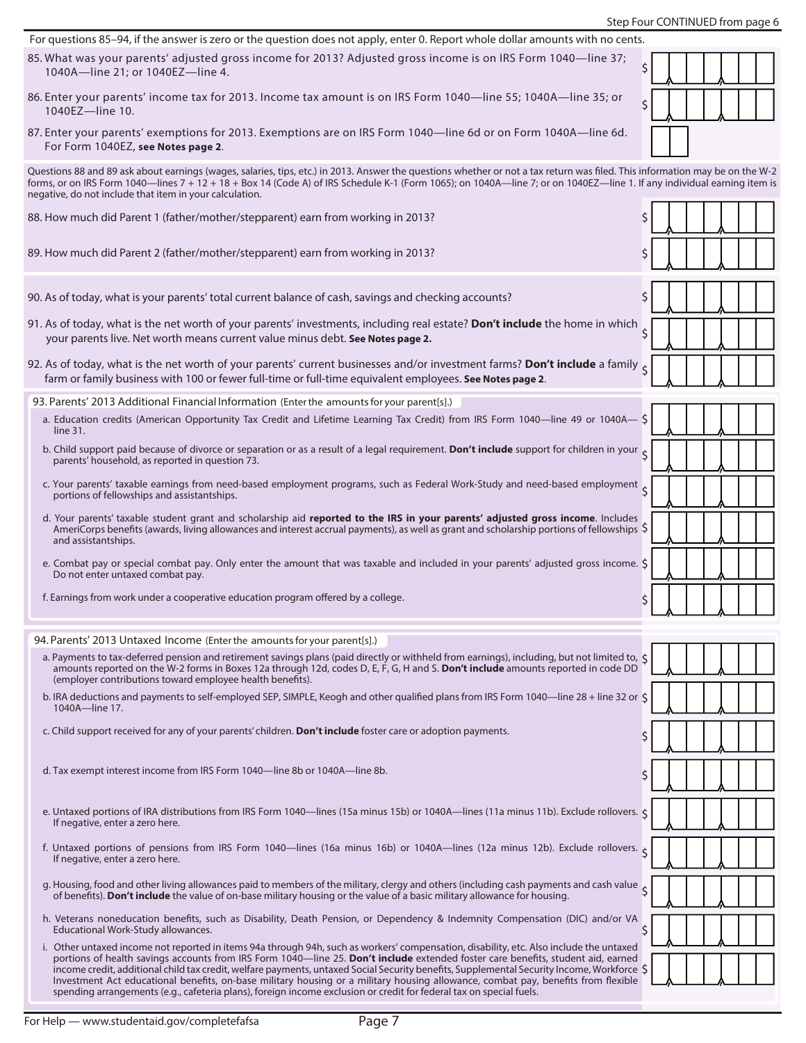Step Four CONTINUED from page 6

<span id="page-6-3"></span><span id="page-6-2"></span><span id="page-6-1"></span><span id="page-6-0"></span>

| For questions 85-94, if the answer is zero or the question does not apply, enter 0. Report whole dollar amounts with no cents.                                                                                                                                                                                                                                                                                                                                                                                                                                                                                                                                                             |                         |
|--------------------------------------------------------------------------------------------------------------------------------------------------------------------------------------------------------------------------------------------------------------------------------------------------------------------------------------------------------------------------------------------------------------------------------------------------------------------------------------------------------------------------------------------------------------------------------------------------------------------------------------------------------------------------------------------|-------------------------|
| 85. What was your parents' adjusted gross income for 2013? Adjusted gross income is on IRS Form 1040-line 37;<br>1040A-line 21; or 1040EZ-line 4.                                                                                                                                                                                                                                                                                                                                                                                                                                                                                                                                          | \$                      |
| 86. Enter your parents' income tax for 2013. Income tax amount is on IRS Form 1040-line 55; 1040A-line 35; or<br>1040EZ-line 10.                                                                                                                                                                                                                                                                                                                                                                                                                                                                                                                                                           | \$                      |
| 87. Enter your parents' exemptions for 2013. Exemptions are on IRS Form 1040-line 6d or on Form 1040A-line 6d.<br>For Form 1040EZ, see Notes page 2.                                                                                                                                                                                                                                                                                                                                                                                                                                                                                                                                       |                         |
| Questions 88 and 89 ask about earnings (wages, salaries, tips, etc.) in 2013. Answer the questions whether or not a tax return was filed. This information may be on the W-2<br>forms, or on IRS Form 1040—lines 7 + 12 + 18 + Box 14 (Code A) of IRS Schedule K-1 (Form 1065); on 1040A—line 7; or on 1040EZ—line 1. If any individual earning item is<br>negative, do not include that item in your calculation.                                                                                                                                                                                                                                                                         |                         |
| 88. How much did Parent 1 (father/mother/stepparent) earn from working in 2013?                                                                                                                                                                                                                                                                                                                                                                                                                                                                                                                                                                                                            | \$                      |
| 89. How much did Parent 2 (father/mother/stepparent) earn from working in 2013?                                                                                                                                                                                                                                                                                                                                                                                                                                                                                                                                                                                                            | \$                      |
| 90. As of today, what is your parents' total current balance of cash, savings and checking accounts?                                                                                                                                                                                                                                                                                                                                                                                                                                                                                                                                                                                       | \$                      |
| 91. As of today, what is the net worth of your parents' investments, including real estate? Don't include the home in which<br>your parents live. Net worth means current value minus debt. See Notes page 2.                                                                                                                                                                                                                                                                                                                                                                                                                                                                              | $\overline{\mathsf{S}}$ |
| 92. As of today, what is the net worth of your parents' current businesses and/or investment farms? Don't include a family $\zeta$<br>farm or family business with 100 or fewer full-time or full-time equivalent employees. See Notes page 2.                                                                                                                                                                                                                                                                                                                                                                                                                                             |                         |
| 93. Parents' 2013 Additional Financial Information (Enter the amounts for your parent[s].)                                                                                                                                                                                                                                                                                                                                                                                                                                                                                                                                                                                                 |                         |
| a. Education credits (American Opportunity Tax Credit and Lifetime Learning Tax Credit) from IRS Form 1040-line 49 or 1040A- \$<br>line 31.                                                                                                                                                                                                                                                                                                                                                                                                                                                                                                                                                |                         |
| b. Child support paid because of divorce or separation or as a result of a legal requirement. Don't include support for children in your<br>parents' household, as reported in question 73.                                                                                                                                                                                                                                                                                                                                                                                                                                                                                                |                         |
| c. Your parents' taxable earnings from need-based employment programs, such as Federal Work-Study and need-based employment 5<br>portions of fellowships and assistantships.                                                                                                                                                                                                                                                                                                                                                                                                                                                                                                               |                         |
| d. Your parents' taxable student grant and scholarship aid reported to the IRS in your parents' adjusted gross income. Includes<br>AmeriCorps benefits (awards, living allowances and interest accrual payments), as well as grant and scholarship portions of fellowships \$<br>and assistantships.                                                                                                                                                                                                                                                                                                                                                                                       |                         |
| e. Combat pay or special combat pay. Only enter the amount that was taxable and included in your parents' adjusted gross income. \$<br>Do not enter untaxed combat pay.                                                                                                                                                                                                                                                                                                                                                                                                                                                                                                                    |                         |
| f. Earnings from work under a cooperative education program offered by a college.                                                                                                                                                                                                                                                                                                                                                                                                                                                                                                                                                                                                          | \$                      |
| 94. Parents' 2013 Untaxed Income (Enter the amounts for your parent[s].)                                                                                                                                                                                                                                                                                                                                                                                                                                                                                                                                                                                                                   |                         |
| a. Payments to tax-deferred pension and retirement savings plans (paid directly or withheld from earnings), including, but not limited to, $\zeta$<br>amounts reported on the W-2 forms in Boxes 12a through 12d, codes D, E, F, G, H and S. Don't include amounts reported in code DD                                                                                                                                                                                                                                                                                                                                                                                                     |                         |
| (employer contributions toward employee health benefits).<br>b. IRA deductions and payments to self-employed SEP, SIMPLE, Keogh and other qualified plans from IRS Form 1040—line 28 + line 32 or \$<br>1040A-line 17.                                                                                                                                                                                                                                                                                                                                                                                                                                                                     |                         |
| c. Child support received for any of your parents' children. Don't include foster care or adoption payments.                                                                                                                                                                                                                                                                                                                                                                                                                                                                                                                                                                               |                         |
| d. Tax exempt interest income from IRS Form 1040-line 8b or 1040A-line 8b.                                                                                                                                                                                                                                                                                                                                                                                                                                                                                                                                                                                                                 |                         |
| e. Untaxed portions of IRA distributions from IRS Form 1040—lines (15a minus 15b) or 1040A—lines (11a minus 11b). Exclude rollovers. $\zeta$<br>If negative, enter a zero here.                                                                                                                                                                                                                                                                                                                                                                                                                                                                                                            |                         |
| f. Untaxed portions of pensions from IRS Form 1040-lines (16a minus 16b) or 1040A-lines (12a minus 12b). Exclude rollovers. $\zeta$<br>If negative, enter a zero here.                                                                                                                                                                                                                                                                                                                                                                                                                                                                                                                     |                         |
| q. Housing, food and other living allowances paid to members of the military, clergy and others (including cash payments and cash value<br>of benefits). Don't include the value of on-base military housing or the value of a basic military allowance for housing.                                                                                                                                                                                                                                                                                                                                                                                                                       |                         |
| h. Veterans noneducation benefits, such as Disability, Death Pension, or Dependency & Indemnity Compensation (DIC) and/or VA<br>Educational Work-Study allowances.                                                                                                                                                                                                                                                                                                                                                                                                                                                                                                                         | Ś.                      |
| i. Other untaxed income not reported in items 94a through 94h, such as workers' compensation, disability, etc. Also include the untaxed<br>portions of health savings accounts from IRS Form 1040-line 25. Don't include extended foster care benefits, student aid, earned<br>income credit, additional child tax credit, welfare payments, untaxed Social Security benefits, Supplemental Security Income, Workforce $\zeta$<br>Investment Act educational benefits, on-base military housing or a military housing allowance, combat pay, benefits from flexible<br>spending arrangements (e.g., cafeteria plans), foreign income exclusion or credit for federal tax on special fuels. |                         |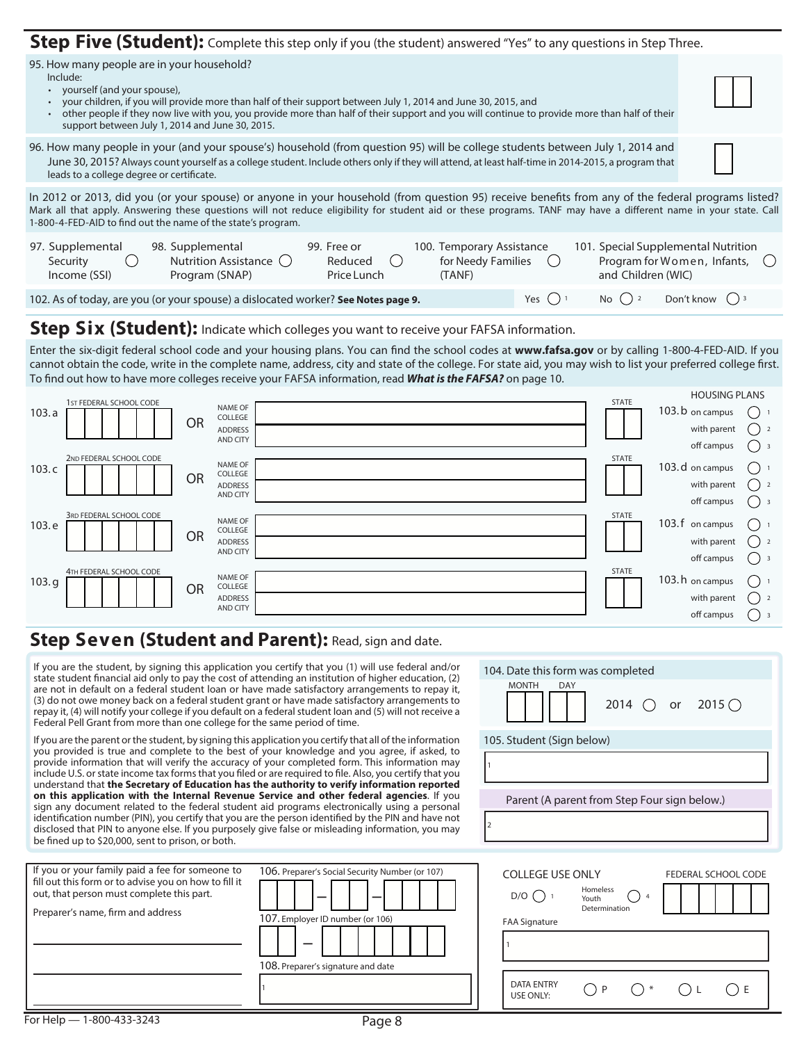<span id="page-7-1"></span><span id="page-7-0"></span>

| Step Five (Student): Complete this step only if you (the student) answered "Yes" to any questions in Step Three.                                                                                                                                                                                                                                                                                                          |  |  |  |  |  |  |  |
|---------------------------------------------------------------------------------------------------------------------------------------------------------------------------------------------------------------------------------------------------------------------------------------------------------------------------------------------------------------------------------------------------------------------------|--|--|--|--|--|--|--|
| 95. How many people are in your household?<br>Include:<br>• yourself (and your spouse),<br>your children, if you will provide more than half of their support between July 1, 2014 and June 30, 2015, and<br>other people if they now live with you, you provide more than half of their support and you will continue to provide more than half of their<br>$\bullet$<br>support between July 1, 2014 and June 30, 2015. |  |  |  |  |  |  |  |
| 96. How many people in your (and your spouse's) household (from question 95) will be college students between July 1, 2014 and<br>June 30, 2015? Always count yourself as a college student. Include others only if they will attend, at least half-time in 2014-2015, a program that<br>leads to a college degree or certificate.                                                                                        |  |  |  |  |  |  |  |
| In 2012 or 2013, did you (or your spouse) or anyone in your household (from question 95) receive benefits from any of the federal programs listed?<br>Mark all that apply. Answering these questions will not reduce eligibility for student aid or these programs. TANF may have a different name in your state. Call<br>1-800-4-FED-AID to find out the name of the state's program.                                    |  |  |  |  |  |  |  |
| 97. Supplemental<br>98. Supplemental<br>99. Free or<br>100. Temporary Assistance<br>101. Special Supplemental Nutrition<br>Nutrition Assistance ()<br>Program for Women, Infants, ()<br>Reduced<br>for Needy Families ()<br>Security<br>$(\ )$<br>$\left( \quad \right)$<br>Program (SNAP)<br>Price Lunch<br>and Children (WIC)<br>Income (SSI)<br>(TANF)                                                                 |  |  |  |  |  |  |  |
| Don't know $( )$ 3<br>No $()$ 2<br>102. As of today, are you (or your spouse) a dislocated worker? See Notes page 9.<br>Yes $()$                                                                                                                                                                                                                                                                                          |  |  |  |  |  |  |  |

#### <span id="page-7-2"></span>**Step Six (Student):** Indicate which colleges you want to receive your FAFSA information.

Enter the six-digit federal school code and your housing plans. You can find the school codes at **[www.fafsa.gov](http://www.fafsa.ed.gov)** or by calling 1-800-4-FED-AID. If you cannot obtain the code, write in the complete name, address, city and state of the college. For state aid, you may wish to list your preferred college first. To find out how to have more colleges receive your FAFSA information, read *[What is the FAFSA?](#page-9-0)* on page 10.

|       | 1 ST FEDERAL SCHOOL CODE |                             |                            |             | STATE         | <b>HOUSING PLANS</b> |                          |
|-------|--------------------------|-----------------------------|----------------------------|-------------|---------------|----------------------|--------------------------|
| 103.a |                          |                             | NAME OF<br>COLLEGE         |             |               | 103.b on campus      |                          |
|       |                          | <b>OR</b>                   | <b>ADDRESS</b>             |             |               | with parent          | $\overline{\phantom{a}}$ |
|       |                          |                             | AND CITY                   |             |               | off campus           | - 3                      |
| 103.c | 2ND FEDERAL SCHOOL CODE  |                             | NAME OF<br>COLLEGE         |             | STATE         | 103. d on campus     |                          |
|       |                          | <b>OR</b><br><b>ADDRESS</b> |                            | with parent | $\frac{1}{2}$ |                      |                          |
|       |                          |                             | AND CITY                   |             |               | off campus           |                          |
|       | 3RD FEDERAL SCHOOL CODE  |                             | NAME OF                    |             | STATE         | 103.f on campus      |                          |
| 103.e |                          | <b>OR</b>                   | COLLEGE                    |             |               |                      |                          |
|       |                          |                             | <b>ADDRESS</b><br>AND CITY |             |               | with parent          | $\frac{1}{2}$            |
|       |                          |                             |                            |             |               | off campus           |                          |
| 103.g | 4TH FEDERAL SCHOOL CODE  |                             | NAME OF                    |             | STATE         | 103. h on campus     |                          |
|       |                          | <b>OR</b>                   | COLLEGE<br><b>ADDRESS</b>  |             |               | with parent          | $\frac{1}{2}$            |
|       |                          |                             | AND CITY                   |             |               | off campus           |                          |
|       |                          |                             |                            |             |               |                      |                          |

### **Step Seven (Student and Parent):** Read, sign and date.

If you are the student, by signing this application you certify that you (1) will use federal and/or state student financial aid only to pay the cost of attending an institution of higher education, (2) are not in default on a federal student loan or have made satisfactory arrangements to repay it, (3) do not owe money back on a federal student grant or have made satisfactory arrangements to repay it, (4) will notify your college if you default on a federal student loan and (5) will not receive a

| Federal Pell Grant from more than one college for the same period of time.                                                                                                                                                                                                                                                                                                                                                                                                                                             |                                                                                                                           |                                                                                                                                                               |  |  |  |  |
|------------------------------------------------------------------------------------------------------------------------------------------------------------------------------------------------------------------------------------------------------------------------------------------------------------------------------------------------------------------------------------------------------------------------------------------------------------------------------------------------------------------------|---------------------------------------------------------------------------------------------------------------------------|---------------------------------------------------------------------------------------------------------------------------------------------------------------|--|--|--|--|
| If you are the parent or the student, by signing this application you certify that all of the information<br>you provided is true and complete to the best of your knowledge and you agree, if asked, to<br>provide information that will verify the accuracy of your completed form. This information may<br>include U.S. or state income tax forms that you filed or are required to file. Also, you certify that you<br>understand that the Secretary of Education has the authority to verify information reported | 105. Student (Sign below)                                                                                                 |                                                                                                                                                               |  |  |  |  |
| on this application with the Internal Revenue Service and other federal agencies. If you<br>sign any document related to the federal student aid programs electronically using a personal<br>identification number (PIN), you certify that you are the person identified by the PIN and have not<br>disclosed that PIN to anyone else. If you purposely give false or misleading information, you may<br>be fined up to \$20,000, sent to prison, or both.                                                             | Parent (A parent from Step Four sign below.)                                                                              |                                                                                                                                                               |  |  |  |  |
| If you or your family paid a fee for someone to<br>fill out this form or to advise you on how to fill it<br>out, that person must complete this part.<br>Preparer's name, firm and address                                                                                                                                                                                                                                                                                                                             | 106. Preparer's Social Security Number (or 107)<br>107. Employer ID number (or 106)<br>108. Preparer's signature and date | <b>COLLEGE USE ONLY</b><br>FEDERAL SCHOOL C<br>Homeless<br>$D/O$ ( )<br>Youth<br>Determination<br><b>FAA Signature</b><br><b>DATA ENTRY</b><br>D<br>USE ONLY: |  |  |  |  |
| For Help - 1-800-433-3243                                                                                                                                                                                                                                                                                                                                                                                                                                                                                              | Page 8                                                                                                                    |                                                                                                                                                               |  |  |  |  |

SCHOOL CODE

2014  $\bigcirc$  or 2015  $\bigcirc$ 

MONTH DAY

104. Date this form was completed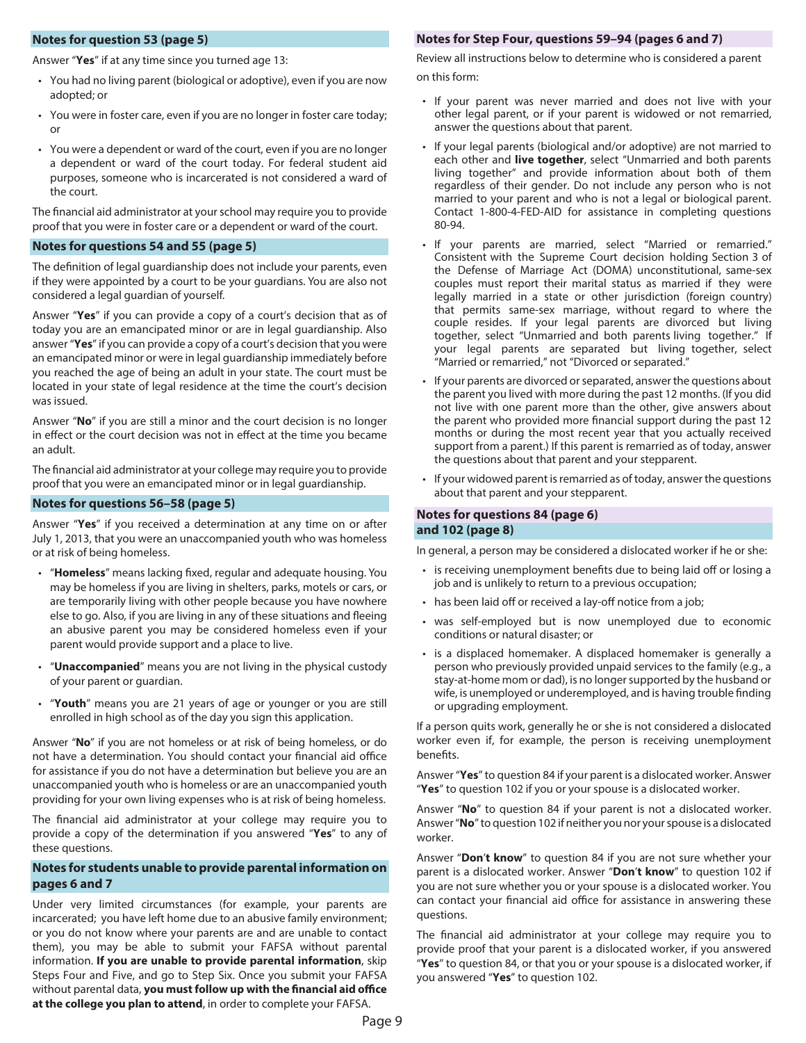#### <span id="page-8-0"></span>**Notes for question [53](#page-4-3) (page 5)**

Answer "**Yes**" if at any time since you turned age 13:

- You had no living parent (biological or adoptive), even if you are now adopted; or
- You were in foster care, even if you are no longer in foster care today; or
- You were a dependent or ward of the court, even if you are no longer a dependent or ward of the court today. For federal student aid purposes, someone who is incarcerated is not considered a ward of the court.

The financial aid administrator at your school may require you to provide proof that you were in foster care or a dependent or ward of the court.

#### <span id="page-8-1"></span>**Notes for questions [54](#page-4-4) and [55](#page-4-5) (page 5)**

The definition of legal guardianship does not include your parents, even if they were appointed by a court to be your guardians. You are also not considered a legal guardian of yourself.

Answer "**Yes**" if you can provide a copy of a court's decision that as of today you are an emancipated minor or are in legal guardianship. Also answer "**Yes**" if you can provide a copy of a court's decision that you were an emancipated minor or were in legal guardianship immediately before you reached the age of being an adult in your state. The court must be located in your state of legal residence at the time the court's decision was issued.

Answer "**No**" if you are still a minor and the court decision is no longer in effect or the court decision was not in effect at the time you became an adult.

The financial aid administrator at your college may require you to provide proof that you were an emancipated minor or in legal guardianship.

#### <span id="page-8-2"></span>**Notes for questions [56](#page-4-6)[–](#page-4-7)[58](#page-4-8) (page 5)**

Answer "**Yes**" if you received a determination at any time on or after July 1, 2013, that you were an unaccompanied youth who was homeless or at risk of being homeless.

- • "**Homeless**" means lacking fixed, regular and adequate housing. You may be homeless if you are living in shelters, parks, motels or cars, or are temporarily living with other people because you have nowhere else to go. Also, if you are living in any of these situations and fleeing an abusive parent you may be considered homeless even if your parent would provide support and a place to live.
- "**Unaccompanied**" means you are not living in the physical custody of your parent or guardian.
- • "**Youth**" means you are 21 years of age or younger or you are still enrolled in high school as of the day you sign this application.

Answer "**No**" if you are not homeless or at risk of being homeless, or do not have a determination. You should contact your financial aid office for assistance if you do not have a determination but believe you are an unaccompanied youth who is homeless or are an unaccompanied youth providing for your own living expenses who is at risk of being homeless.

The financial aid administrator at your college may require you to provide a copy of the determination if you answered "**Yes**" to any of these questions.

#### <span id="page-8-5"></span>**[Notes for students unable to provide parental information on](#page-5-3) [pages 6 and 7](#page-5-3)**

Under very limited circumstances (for example, your parents are incarcerated; you have left home due to an abusive family environment; or you do not know where your parents are and are unable to contact them), you may be able to submit your FAFSA without parental information. **If you are unable to provide parental information**, skip Steps Four and Five, and go to Step Six. Once you submit your FAFSA without parental data, **you must follow up with the financial aid office at the college you plan to attend**, in order to complete your FAFSA.

#### <span id="page-8-3"></span>**Notes for Step Four, questions [59–](#page-5-4)[94](#page-8-3) (pages 6 and 7)**

Review all instructions below to determine who is considered a parent on this form:

- If your parent was never married and does not live with your other legal parent, or if your parent is widowed or not remarried, answer the questions about that parent.
- If your legal parents (biological and/or adoptive) are not married to each other and **live together**, select "Unmarried and both parents living together" and provide information about both of them regardless of their gender. Do not include any person who is not married to your parent and who is not a legal or biological parent. Contact 1-800-4-FED-AID for assistance in completing questions 80-94.
- • If your parents are married, select "Married or remarried." Consistent with the Supreme Court decision holding Section 3 of the Defense of Marriage Act (DOMA) unconstitutional, same-sex couples must report their marital status as married if they were legally married in a state or other jurisdiction (foreign country) that permits same-sex marriage, without regard to where the couple resides. If your legal parents are divorced but living together, select "Unmarried and both parents living together." If your legal parents are separated but living together, select "Married or remarried," not "Divorced or separated."
- If your parents are divorced or separated, answer the questions about the parent you lived with more during the past 12 months. (If you did not live with one parent more than the other, give answers about the parent who provided more financial support during the past 12 months or during the most recent year that you actually received support from a parent.) If this parent is remarried as of today, answer the questions about that parent and your stepparent.
- <span id="page-8-6"></span><span id="page-8-4"></span>• If your widowed parent is remarried as of today, answer the questions about that parent and your stepparent.

#### **Notes for questions [84](#page-5-5) (page 6) and [102](#page-7-2) (page 8)**

In general, a person may be considered a dislocated worker if he or she:

- is receiving unemployment benefits due to being laid off or losing a job and is unlikely to return to a previous occupation;
- has been laid off or received a lay-off notice from a job;
- was self-employed but is now unemployed due to economic conditions or natural disaster; or
- is a displaced homemaker. A displaced homemaker is generally a person who previously provided unpaid services to the family (e.g., a stay-at-home mom or dad), is no longer supported by the husband or wife, is unemployed or underemployed, and is having trouble finding or upgrading employment.

If a person quits work, generally he or she is not considered a dislocated worker even if, for example, the person is receiving unemployment benefits.

Answer "**Yes**" to question 84 if your parent is a dislocated worker. Answer "**Yes**" to question 102 if you or your spouse is a dislocated worker.

Answer "**No**" to question 84 if your parent is not a dislocated worker. Answer "**No**" to question 102 if neither you nor your spouse is a dislocated worker.

Answer "**Don**'**t know**" to question 84 if you are not sure whether your parent is a dislocated worker. Answer "**Don**'**t know**" to question 102 if you are not sure whether you or your spouse is a dislocated worker. You can contact your financial aid office for assistance in answering these questions.

The financial aid administrator at your college may require you to provide proof that your parent is a dislocated worker, if you answered "**Yes**" to question 84, or that you or your spouse is a dislocated worker, if you answered "**Yes**" to question 102.